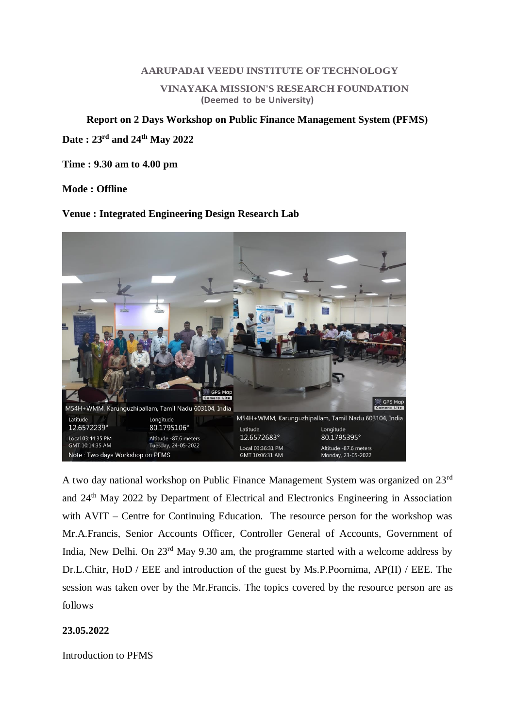#### **AARUPADAI VEEDU INSTITUTE OFTECHNOLOGY**

**VINAYAKA MISSION'S RESEARCH FOUNDATION (Deemed to be University)**

## **Report on 2 Days Workshop on Public Finance Management System (PFMS)**

**Date : 23rd and 24th May 2022**

**Time : 9.30 am to 4.00 pm**

### **Mode : Offline**

### **Venue : Integrated Engineering Design Research Lab**



A two day national workshop on Public Finance Management System was organized on 23rd and 24<sup>th</sup> May 2022 by Department of Electrical and Electronics Engineering in Association with AVIT – Centre for Continuing Education. The resource person for the workshop was Mr.A.Francis, Senior Accounts Officer, Controller General of Accounts, Government of India, New Delhi. On 23<sup>rd</sup> May 9.30 am, the programme started with a welcome address by Dr.L.Chitr, HoD / EEE and introduction of the guest by Ms.P.Poornima, AP(II) / EEE. The session was taken over by the Mr.Francis. The topics covered by the resource person are as follows

## **23.05.2022**

Introduction to PFMS